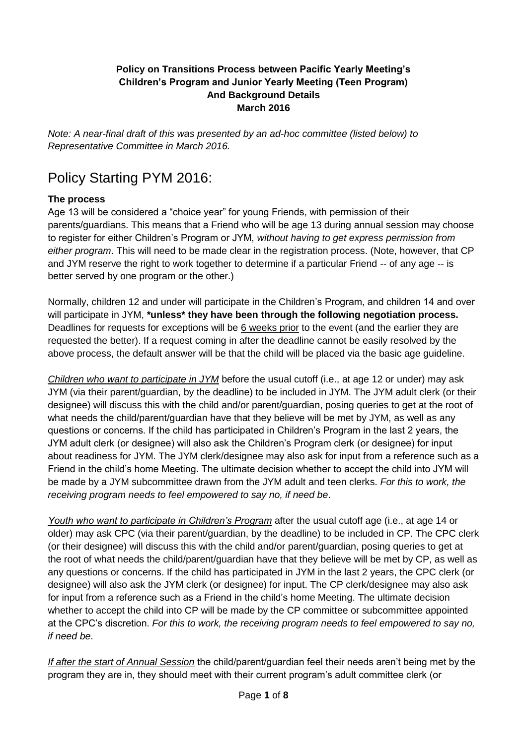### **Policy on Transitions Process between Pacific Yearly Meeting's Children's Program and Junior Yearly Meeting (Teen Program) And Background Details March 2016**

*Note: A near-final draft of this was presented by an ad-hoc committee (listed below) to Representative Committee in March 2016.*

# Policy Starting PYM 2016:

### **The process**

Age 13 will be considered a "choice year" for young Friends, with permission of their parents/guardians. This means that a Friend who will be age 13 during annual session may choose to register for either Children's Program or JYM, *without having to get express permission from either program*. This will need to be made clear in the registration process. (Note, however, that CP and JYM reserve the right to work together to determine if a particular Friend -- of any age -- is better served by one program or the other.)

Normally, children 12 and under will participate in the Children's Program, and children 14 and over will participate in JYM, **\*unless\* they have been through the following negotiation process.**  Deadlines for requests for exceptions will be 6 weeks prior to the event (and the earlier they are requested the better). If a request coming in after the deadline cannot be easily resolved by the above process, the default answer will be that the child will be placed via the basic age guideline.

*Children who want to participate in JYM* before the usual cutoff (i.e., at age 12 or under) may ask JYM (via their parent/guardian, by the deadline) to be included in JYM. The JYM adult clerk (or their designee) will discuss this with the child and/or parent/guardian, posing queries to get at the root of what needs the child/parent/guardian have that they believe will be met by JYM, as well as any questions or concerns. If the child has participated in Children's Program in the last 2 years, the JYM adult clerk (or designee) will also ask the Children's Program clerk (or designee) for input about readiness for JYM. The JYM clerk/designee may also ask for input from a reference such as a Friend in the child's home Meeting. The ultimate decision whether to accept the child into JYM will be made by a JYM subcommittee drawn from the JYM adult and teen clerks. *For this to work, the receiving program needs to feel empowered to say no, if need be*.

*Youth who want to participate in Children's Program* after the usual cutoff age (i.e., at age 14 or older) may ask CPC (via their parent/guardian, by the deadline) to be included in CP. The CPC clerk (or their designee) will discuss this with the child and/or parent/guardian, posing queries to get at the root of what needs the child/parent/guardian have that they believe will be met by CP, as well as any questions or concerns. If the child has participated in JYM in the last 2 years, the CPC clerk (or designee) will also ask the JYM clerk (or designee) for input. The CP clerk/designee may also ask for input from a reference such as a Friend in the child's home Meeting. The ultimate decision whether to accept the child into CP will be made by the CP committee or subcommittee appointed at the CPC's discretion. *For this to work, the receiving program needs to feel empowered to say no, if need be*.

*If after the start of Annual Session* the child/parent/guardian feel their needs aren't being met by the program they are in, they should meet with their current program's adult committee clerk (or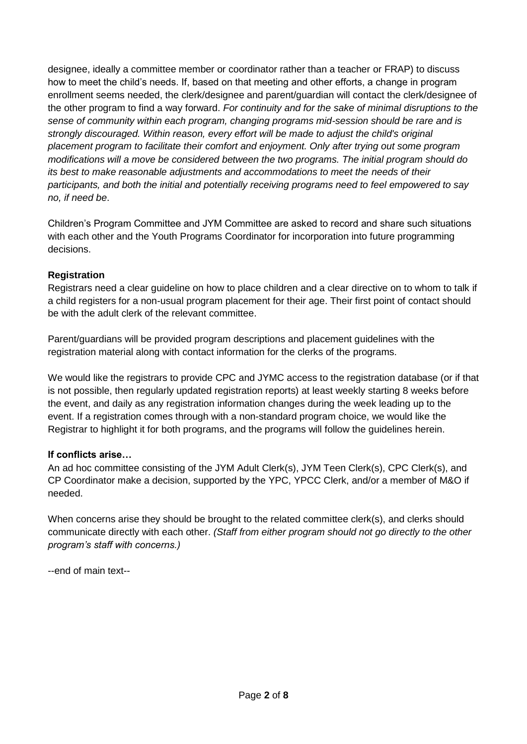designee, ideally a committee member or coordinator rather than a teacher or FRAP) to discuss how to meet the child's needs. If, based on that meeting and other efforts, a change in program enrollment seems needed, the clerk/designee and parent/guardian will contact the clerk/designee of the other program to find a way forward. *For continuity and for the sake of minimal disruptions to the sense of community within each program, changing programs mid-session should be rare and is strongly discouraged. Within reason, every effort will be made to adjust the child's original placement program to facilitate their comfort and enjoyment. Only after trying out some program modifications will a move be considered between the two programs. The initial program should do its best to make reasonable adjustments and accommodations to meet the needs of their participants, and both the initial and potentially receiving programs need to feel empowered to say no, if need be*.

Children's Program Committee and JYM Committee are asked to record and share such situations with each other and the Youth Programs Coordinator for incorporation into future programming decisions.

### **Registration**

Registrars need a clear guideline on how to place children and a clear directive on to whom to talk if a child registers for a non-usual program placement for their age. Their first point of contact should be with the adult clerk of the relevant committee.

Parent/guardians will be provided program descriptions and placement guidelines with the registration material along with contact information for the clerks of the programs.

We would like the registrars to provide CPC and JYMC access to the registration database (or if that is not possible, then regularly updated registration reports) at least weekly starting 8 weeks before the event, and daily as any registration information changes during the week leading up to the event. If a registration comes through with a non-standard program choice, we would like the Registrar to highlight it for both programs, and the programs will follow the guidelines herein.

#### **If conflicts arise…**

An ad hoc committee consisting of the JYM Adult Clerk(s), JYM Teen Clerk(s), CPC Clerk(s), and CP Coordinator make a decision, supported by the YPC, YPCC Clerk, and/or a member of M&O if needed.

When concerns arise they should be brought to the related committee clerk(s), and clerks should communicate directly with each other. *(Staff from either program should not go directly to the other program's staff with concerns.)*

--end of main text--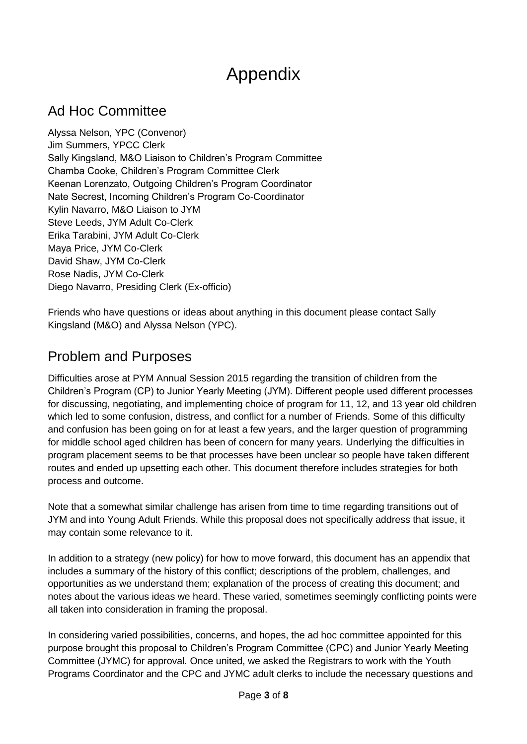# Appendix

### Ad Hoc Committee

Alyssa Nelson, YPC (Convenor) Jim Summers, YPCC Clerk Sally Kingsland, M&O Liaison to Children's Program Committee Chamba Cooke, Children's Program Committee Clerk Keenan Lorenzato, Outgoing Children's Program Coordinator Nate Secrest, Incoming Children's Program Co-Coordinator Kylin Navarro, M&O Liaison to JYM Steve Leeds, JYM Adult Co-Clerk Erika Tarabini, JYM Adult Co-Clerk Maya Price, JYM Co-Clerk David Shaw, JYM Co-Clerk Rose Nadis, JYM Co-Clerk Diego Navarro, Presiding Clerk (Ex-officio)

Friends who have questions or ideas about anything in this document please contact Sally Kingsland (M&O) and Alyssa Nelson (YPC).

### Problem and Purposes

Difficulties arose at PYM Annual Session 2015 regarding the transition of children from the Children's Program (CP) to Junior Yearly Meeting (JYM). Different people used different processes for discussing, negotiating, and implementing choice of program for 11, 12, and 13 year old children which led to some confusion, distress, and conflict for a number of Friends. Some of this difficulty and confusion has been going on for at least a few years, and the larger question of programming for middle school aged children has been of concern for many years. Underlying the difficulties in program placement seems to be that processes have been unclear so people have taken different routes and ended up upsetting each other. This document therefore includes strategies for both process and outcome.

Note that a somewhat similar challenge has arisen from time to time regarding transitions out of JYM and into Young Adult Friends. While this proposal does not specifically address that issue, it may contain some relevance to it.

In addition to a strategy (new policy) for how to move forward, this document has an appendix that includes a summary of the history of this conflict; descriptions of the problem, challenges, and opportunities as we understand them; explanation of the process of creating this document; and notes about the various ideas we heard. These varied, sometimes seemingly conflicting points were all taken into consideration in framing the proposal.

In considering varied possibilities, concerns, and hopes, the ad hoc committee appointed for this purpose brought this proposal to Children's Program Committee (CPC) and Junior Yearly Meeting Committee (JYMC) for approval. Once united, we asked the Registrars to work with the Youth Programs Coordinator and the CPC and JYMC adult clerks to include the necessary questions and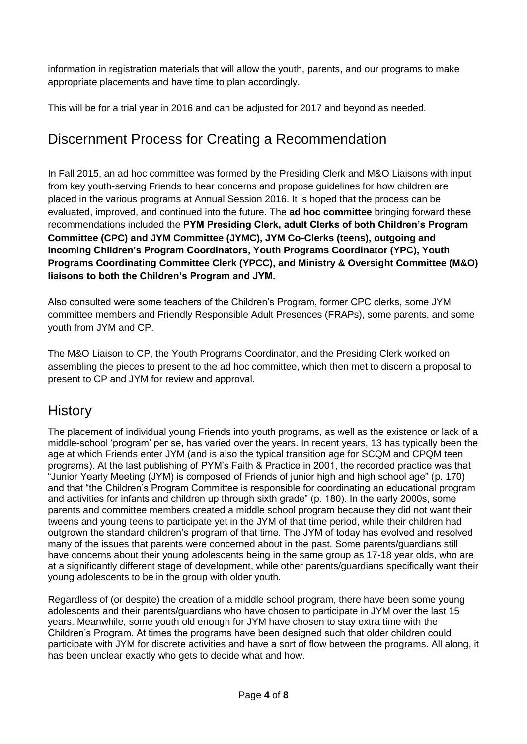information in registration materials that will allow the youth, parents, and our programs to make appropriate placements and have time to plan accordingly.

This will be for a trial year in 2016 and can be adjusted for 2017 and beyond as needed.

# Discernment Process for Creating a Recommendation

In Fall 2015, an ad hoc committee was formed by the Presiding Clerk and M&O Liaisons with input from key youth-serving Friends to hear concerns and propose guidelines for how children are placed in the various programs at Annual Session 2016. It is hoped that the process can be evaluated, improved, and continued into the future. The **ad hoc committee** bringing forward these recommendations included the **PYM Presiding Clerk, adult Clerks of both Children's Program Committee (CPC) and JYM Committee (JYMC), JYM Co-Clerks (teens), outgoing and incoming Children's Program Coordinators, Youth Programs Coordinator (YPC), Youth Programs Coordinating Committee Clerk (YPCC), and Ministry & Oversight Committee (M&O) liaisons to both the Children's Program and JYM.** 

Also consulted were some teachers of the Children's Program, former CPC clerks, some JYM committee members and Friendly Responsible Adult Presences (FRAPs), some parents, and some youth from JYM and CP.

The M&O Liaison to CP, the Youth Programs Coordinator, and the Presiding Clerk worked on assembling the pieces to present to the ad hoc committee, which then met to discern a proposal to present to CP and JYM for review and approval.

### **History**

The placement of individual young Friends into youth programs, as well as the existence or lack of a middle-school 'program' per se, has varied over the years. In recent years, 13 has typically been the age at which Friends enter JYM (and is also the typical transition age for SCQM and CPQM teen programs). At the last publishing of PYM's Faith & Practice in 2001, the recorded practice was that "Junior Yearly Meeting (JYM) is composed of Friends of junior high and high school age" [\(p. 170\)](http://pacificyearlymeeting.org/fp/pymfp2001pg120.html) and that "the Children's Program Committee is responsible for coordinating an educational program and activities for infants and children up through sixth grade" (p. 180). In the early 2000s, some parents and committee members created a middle school program because they did not want their tweens and young teens to participate yet in the JYM of that time period, while their children had outgrown the standard children's program of that time. The JYM of today has evolved and resolved many of the issues that parents were concerned about in the past. Some parents/guardians still have concerns about their young adolescents being in the same group as 17-18 year olds, who are at a significantly different stage of development, while other parents/guardians specifically want their young adolescents to be in the group with older youth.

Regardless of (or despite) the creation of a middle school program, there have been some young adolescents and their parents/guardians who have chosen to participate in JYM over the last 15 years. Meanwhile, some youth old enough for JYM have chosen to stay extra time with the Children's Program. At times the programs have been designed such that older children could participate with JYM for discrete activities and have a sort of flow between the programs. All along, it has been unclear exactly who gets to decide what and how.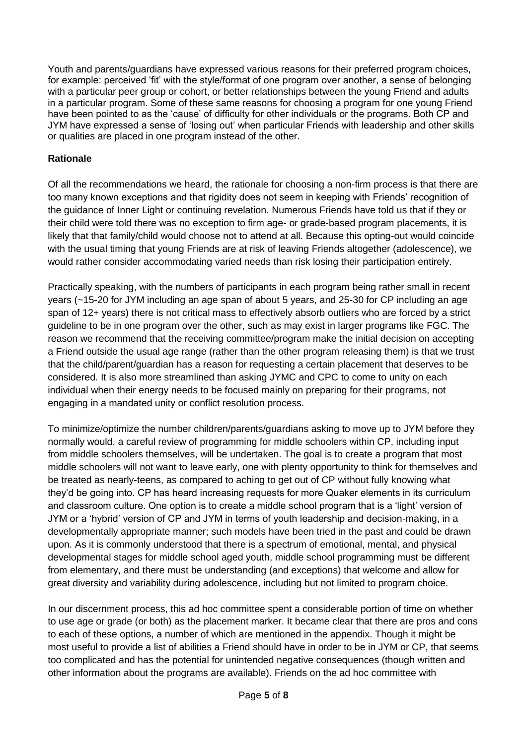Youth and parents/guardians have expressed various reasons for their preferred program choices, for example: perceived 'fit' with the style/format of one program over another, a sense of belonging with a particular peer group or cohort, or better relationships between the young Friend and adults in a particular program. Some of these same reasons for choosing a program for one young Friend have been pointed to as the 'cause' of difficulty for other individuals or the programs. Both CP and JYM have expressed a sense of 'losing out' when particular Friends with leadership and other skills or qualities are placed in one program instead of the other.

### **Rationale**

Of all the recommendations we heard, the rationale for choosing a non-firm process is that there are too many known exceptions and that rigidity does not seem in keeping with Friends' recognition of the guidance of Inner Light or continuing revelation. Numerous Friends have told us that if they or their child were told there was no exception to firm age- or grade-based program placements, it is likely that that family/child would choose not to attend at all. Because this opting-out would coincide with the usual timing that young Friends are at risk of leaving Friends altogether (adolescence), we would rather consider accommodating varied needs than risk losing their participation entirely.

Practically speaking, with the numbers of participants in each program being rather small in recent years (~15-20 for JYM including an age span of about 5 years, and 25-30 for CP including an age span of 12+ years) there is not critical mass to effectively absorb outliers who are forced by a strict guideline to be in one program over the other, such as may exist in larger programs like FGC. The reason we recommend that the receiving committee/program make the initial decision on accepting a Friend outside the usual age range (rather than the other program releasing them) is that we trust that the child/parent/guardian has a reason for requesting a certain placement that deserves to be considered. It is also more streamlined than asking JYMC and CPC to come to unity on each individual when their energy needs to be focused mainly on preparing for their programs, not engaging in a mandated unity or conflict resolution process.

To minimize/optimize the number children/parents/guardians asking to move up to JYM before they normally would, a careful review of programming for middle schoolers within CP, including input from middle schoolers themselves, will be undertaken. The goal is to create a program that most middle schoolers will not want to leave early, one with plenty opportunity to think for themselves and be treated as nearly-teens, as compared to aching to get out of CP without fully knowing what they'd be going into. CP has heard increasing requests for more Quaker elements in its curriculum and classroom culture. One option is to create a middle school program that is a 'light' version of JYM or a 'hybrid' version of CP and JYM in terms of youth leadership and decision-making, in a developmentally appropriate manner; such models have been tried in the past and could be drawn upon. As it is commonly understood that there is a spectrum of emotional, mental, and physical developmental stages for middle school aged youth, middle school programming must be different from elementary, and there must be understanding (and exceptions) that welcome and allow for great diversity and variability during adolescence, including but not limited to program choice.

In our discernment process, this ad hoc committee spent a considerable portion of time on whether to use age or grade (or both) as the placement marker. It became clear that there are pros and cons to each of these options, a number of which are mentioned in the appendix. Though it might be most useful to provide a list of abilities a Friend should have in order to be in JYM or CP, that seems too complicated and has the potential for unintended negative consequences (though written and other information about the programs are available). Friends on the ad hoc committee with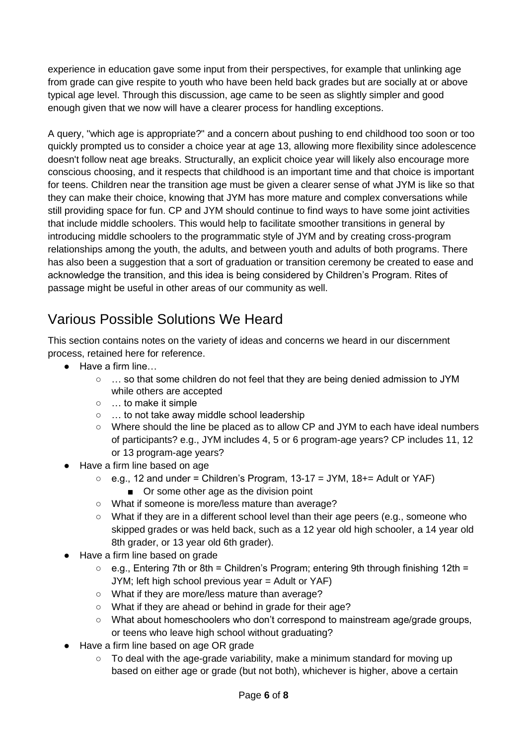experience in education gave some input from their perspectives, for example that unlinking age from grade can give respite to youth who have been held back grades but are socially at or above typical age level. Through this discussion, age came to be seen as slightly simpler and good enough given that we now will have a clearer process for handling exceptions.

A query, "which age is appropriate?" and a concern about pushing to end childhood too soon or too quickly prompted us to consider a choice year at age 13, allowing more flexibility since adolescence doesn't follow neat age breaks. Structurally, an explicit choice year will likely also encourage more conscious choosing, and it respects that childhood is an important time and that choice is important for teens. Children near the transition age must be given a clearer sense of what JYM is like so that they can make their choice, knowing that JYM has more mature and complex conversations while still providing space for fun. CP and JYM should continue to find ways to have some joint activities that include middle schoolers. This would help to facilitate smoother transitions in general by introducing middle schoolers to the programmatic style of JYM and by creating cross-program relationships among the youth, the adults, and between youth and adults of both programs. There has also been a suggestion that a sort of graduation or transition ceremony be created to ease and acknowledge the transition, and this idea is being considered by Children's Program. Rites of passage might be useful in other areas of our community as well.

## Various Possible Solutions We Heard

This section contains notes on the variety of ideas and concerns we heard in our discernment process, retained here for reference.

- Have a firm line...
	- … so that some children do not feel that they are being denied admission to JYM while others are accepted
	- … to make it simple
	- … to not take away middle school leadership
	- Where should the line be placed as to allow CP and JYM to each have ideal numbers of participants? e.g., JYM includes 4, 5 or 6 program-age years? CP includes 11, 12 or 13 program-age years?
- Have a firm line based on age
	- $\circ$  e.g., 12 and under = Children's Program, 13-17 = JYM, 18+= Adult or YAF)
		- Or some other age as the division point
	- What if someone is more/less mature than average?
	- What if they are in a different school level than their age peers (e.g., someone who skipped grades or was held back, such as a 12 year old high schooler, a 14 year old 8th grader, or 13 year old 6th grader).
- Have a firm line based on grade
	- $\circ$  e.g., Entering 7th or 8th = Children's Program; entering 9th through finishing 12th = JYM; left high school previous year = Adult or YAF)
	- What if they are more/less mature than average?
	- What if they are ahead or behind in grade for their age?
	- What about homeschoolers who don't correspond to mainstream age/grade groups, or teens who leave high school without graduating?
- Have a firm line based on age OR grade
	- To deal with the age-grade variability, make a minimum standard for moving up based on either age or grade (but not both), whichever is higher, above a certain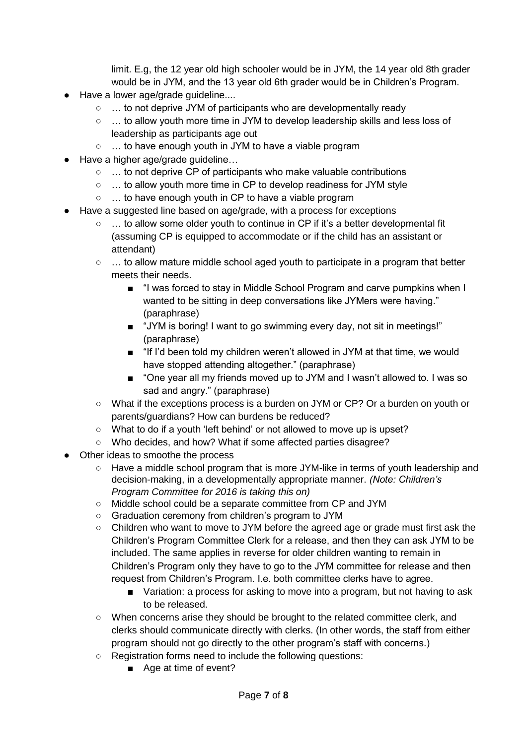limit. E.g, the 12 year old high schooler would be in JYM, the 14 year old 8th grader would be in JYM, and the 13 year old 6th grader would be in Children's Program.

- Have a lower age/grade quideline....
	- … to not deprive JYM of participants who are developmentally ready
	- … to allow youth more time in JYM to develop leadership skills and less loss of leadership as participants age out
	- … to have enough youth in JYM to have a viable program
- Have a higher age/grade guideline...
	- … to not deprive CP of participants who make valuable contributions
	- … to allow youth more time in CP to develop readiness for JYM style
	- … to have enough youth in CP to have a viable program
- Have a suggested line based on age/grade, with a process for exceptions
	- … to allow some older youth to continue in CP if it's a better developmental fit (assuming CP is equipped to accommodate or if the child has an assistant or attendant)
	- $\circ \dots$  to allow mature middle school aged youth to participate in a program that better meets their needs.
		- "I was forced to stay in Middle School Program and carve pumpkins when I wanted to be sitting in deep conversations like JYMers were having." (paraphrase)
		- "JYM is boring! I want to go swimming every day, not sit in meetings!" (paraphrase)
		- "If I'd been told my children weren't allowed in JYM at that time, we would have stopped attending altogether." (paraphrase)
		- "One year all my friends moved up to JYM and I wasn't allowed to. I was so sad and angry." (paraphrase)
	- What if the exceptions process is a burden on JYM or CP? Or a burden on youth or parents/guardians? How can burdens be reduced?
	- What to do if a youth 'left behind' or not allowed to move up is upset?
	- Who decides, and how? What if some affected parties disagree?
- Other ideas to smoothe the process
	- Have a middle school program that is more JYM-like in terms of youth leadership and decision-making, in a developmentally appropriate manner. *(Note: Children's Program Committee for 2016 is taking this on)*
	- Middle school could be a separate committee from CP and JYM
	- Graduation ceremony from children's program to JYM
	- Children who want to move to JYM before the agreed age or grade must first ask the Children's Program Committee Clerk for a release, and then they can ask JYM to be included. The same applies in reverse for older children wanting to remain in Children's Program only they have to go to the JYM committee for release and then request from Children's Program. I.e. both committee clerks have to agree.
		- Variation: a process for asking to move into a program, but not having to ask to be released.
	- When concerns arise they should be brought to the related committee clerk, and clerks should communicate directly with clerks. (In other words, the staff from either program should not go directly to the other program's staff with concerns.)
	- Registration forms need to include the following questions:
		- Age at time of event?